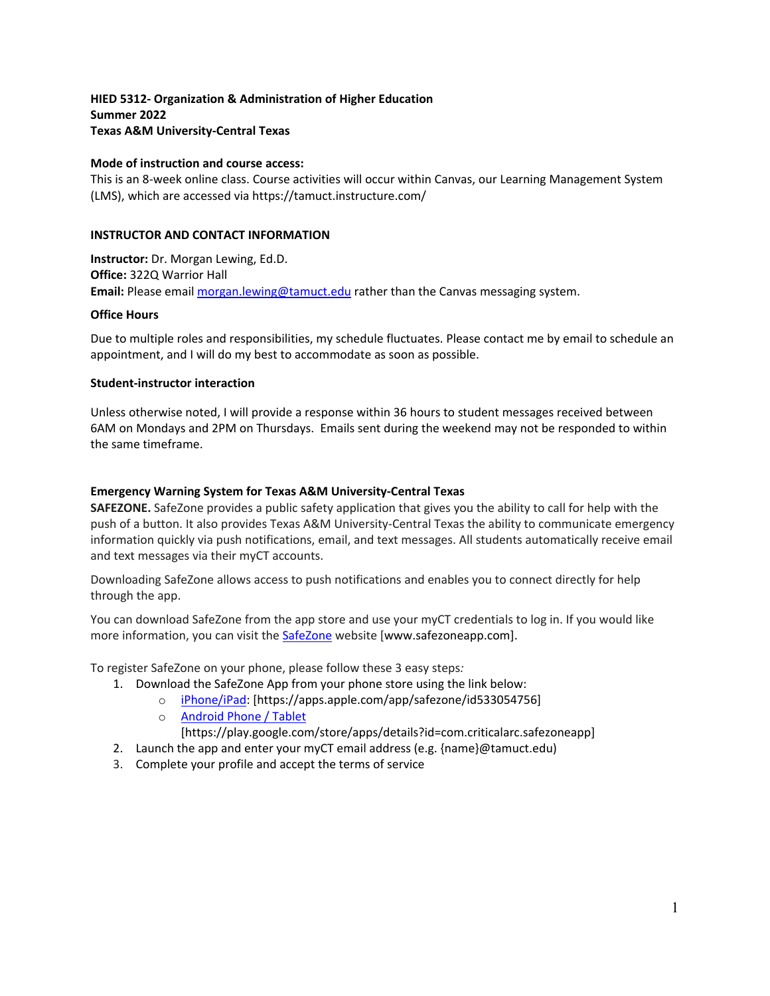**HIED 5312- Organization & Administration of Higher Education Summer 2022 Texas A&M University-Central Texas** 

## **Mode of instruction and course access:**

This is an 8-week online class. Course activities will occur within Canvas, our Learning Management System (LMS), which are accessed via https://tamuct.instructure.com/

### **INSTRUCTOR AND CONTACT INFORMATION**

**Instructor:** Dr. Morgan Lewing, Ed.D. **Office:** 322Q Warrior Hall **Email:** Please email [morgan.lewing@tamuct.edu](mailto:morgan.lewing@tamuct.edu) rather than the Canvas messaging system.

### **Office Hours**

Due to multiple roles and responsibilities, my schedule fluctuates. Please contact me by email to schedule an appointment, and I will do my best to accommodate as soon as possible.

### **Student-instructor interaction**

Unless otherwise noted, I will provide a response within 36 hours to student messages received between 6AM on Mondays and 2PM on Thursdays. Emails sent during the weekend may not be responded to within the same timeframe.

### **Emergency Warning System for Texas A&M University-Central Texas**

**SAFEZONE.** SafeZone provides a public safety application that gives you the ability to call for help with the push of a button. It also provides Texas A&M University-Central Texas the ability to communicate emergency information quickly via push notifications, email, and text messages. All students automatically receive email and text messages via their myCT accounts.

Downloading SafeZone allows access to push notifications and enables you to connect directly for help through the app.

You can download SafeZone from the app store and use your myCT credentials to log in. If you would like more information, you can visit the [SafeZone](http://www.safezoneapp.com/) website [www.safezoneapp.com].

To register SafeZone on your phone, please follow these 3 easy steps*:*

- 1. Download the SafeZone App from your phone store using the link below:
	- o [iPhone/iPad:](https://apps.apple.com/app/safezone/id533054756) [https://apps.apple.com/app/safezone/id533054756]
		- o [Android Phone / Tablet](https://play.google.com/store/apps/details?id=com.criticalarc.safezoneapp)
			- [https://play.google.com/store/apps/details?id=com.criticalarc.safezoneapp]
- 2. Launch the app and enter your myCT email address (e.g.  ${name}$ ) $\emptyset$ tamuct.edu)
- 3. Complete your profile and accept the terms of service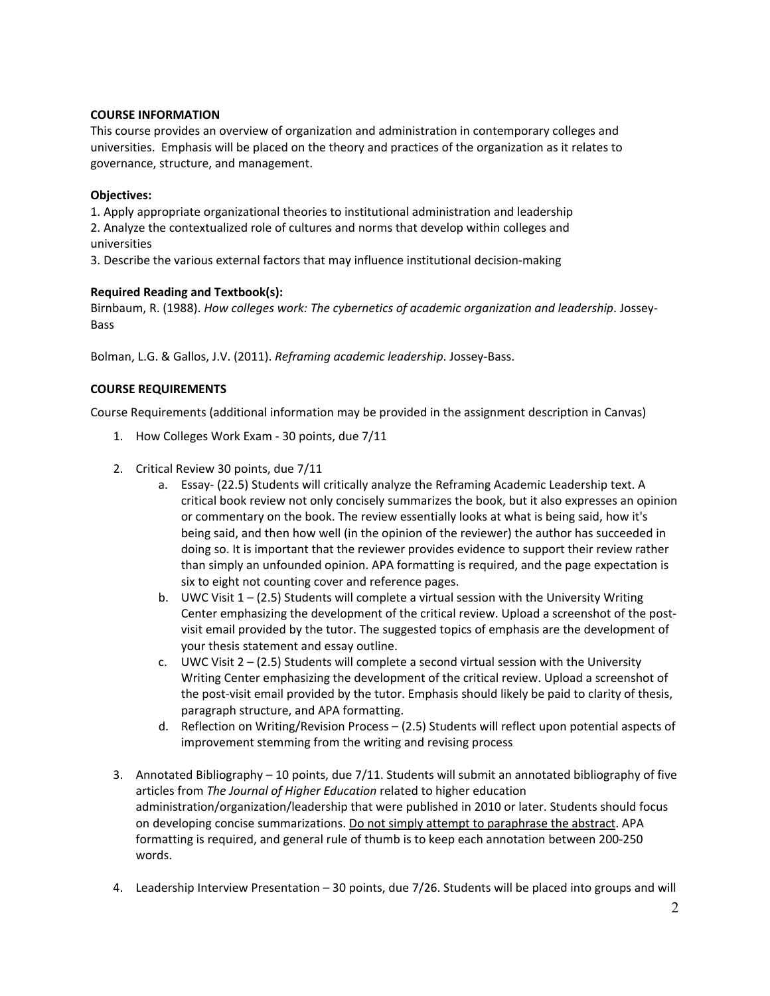# **COURSE INFORMATION**

This course provides an overview of organization and administration in contemporary colleges and universities. Emphasis will be placed on the theory and practices of the organization as it relates to governance, structure, and management.

# **Objectives:**

1. Apply appropriate organizational theories to institutional administration and leadership 2. Analyze the contextualized role of cultures and norms that develop within colleges and universities

3. Describe the various external factors that may influence institutional decision-making

# **Required Reading and Textbook(s):**

Birnbaum, R. (1988). *How colleges work: The cybernetics of academic organization and leadership*. Jossey-Bass

Bolman, L.G. & Gallos, J.V. (2011). *Reframing academic leadership*. Jossey-Bass.

# **COURSE REQUIREMENTS**

Course Requirements (additional information may be provided in the assignment description in Canvas)

- 1. How Colleges Work Exam 30 points, due 7/11
- 2. Critical Review 30 points, due 7/11
	- a. Essay- (22.5) Students will critically analyze the Reframing Academic Leadership text. A critical book review not only concisely summarizes the book, but it also expresses an opinion or commentary on the book. The review essentially looks at what is being said, how it's being said, and then how well (in the opinion of the reviewer) the author has succeeded in doing so. It is important that the reviewer provides evidence to support their review rather than simply an unfounded opinion. APA formatting is required, and the page expectation is six to eight not counting cover and reference pages.
	- b. UWC Visit  $1 (2.5)$  Students will complete a virtual session with the University Writing Center emphasizing the development of the critical review. Upload a screenshot of the postvisit email provided by the tutor. The suggested topics of emphasis are the development of your thesis statement and essay outline.
	- c. UWC Visit  $2 (2.5)$  Students will complete a second virtual session with the University Writing Center emphasizing the development of the critical review. Upload a screenshot of the post-visit email provided by the tutor. Emphasis should likely be paid to clarity of thesis, paragraph structure, and APA formatting.
	- d. Reflection on Writing/Revision Process (2.5) Students will reflect upon potential aspects of improvement stemming from the writing and revising process
- 3. Annotated Bibliography 10 points, due 7/11. Students will submit an annotated bibliography of five articles from *The Journal of Higher Education* related to higher education administration/organization/leadership that were published in 2010 or later. Students should focus on developing concise summarizations. Do not simply attempt to paraphrase the abstract. APA formatting is required, and general rule of thumb is to keep each annotation between 200-250 words.
- 4. Leadership Interview Presentation 30 points, due 7/26. Students will be placed into groups and will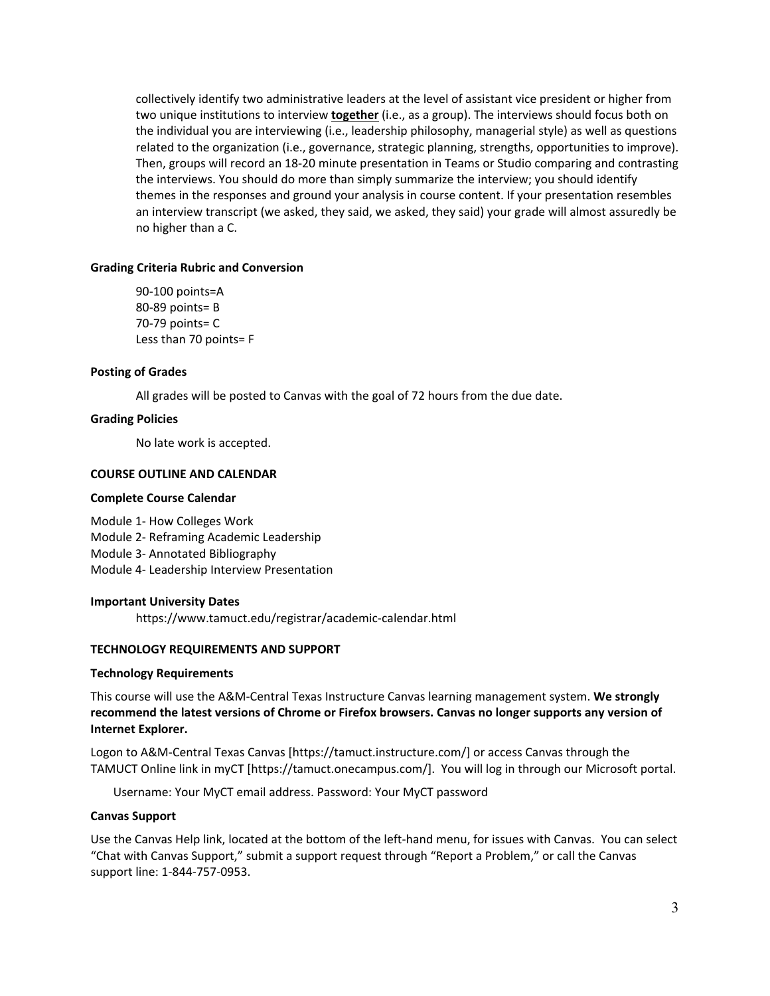collectively identify two administrative leaders at the level of assistant vice president or higher from two unique institutions to interview **together** (i.e., as a group). The interviews should focus both on the individual you are interviewing (i.e., leadership philosophy, managerial style) as well as questions related to the organization (i.e., governance, strategic planning, strengths, opportunities to improve). Then, groups will record an 18-20 minute presentation in Teams or Studio comparing and contrasting the interviews. You should do more than simply summarize the interview; you should identify themes in the responses and ground your analysis in course content. If your presentation resembles an interview transcript (we asked, they said, we asked, they said) your grade will almost assuredly be no higher than a C.

## **Grading Criteria Rubric and Conversion**

90-100 points=A 80-89 points= B 70-79 points= C Less than 70 points= F

#### **Posting of Grades**

All grades will be posted to Canvas with the goal of 72 hours from the due date.

#### **Grading Policies**

No late work is accepted.

#### **COURSE OUTLINE AND CALENDAR**

#### **Complete Course Calendar**

Module 1- How Colleges Work Module 2- Reframing Academic Leadership Module 3- Annotated Bibliography Module 4- Leadership Interview Presentation

#### **Important University Dates**

https://www.tamuct.edu/registrar/academic-calendar.html

### **TECHNOLOGY REQUIREMENTS AND SUPPORT**

#### **Technology Requirements**

This course will use the A&M-Central Texas Instructure Canvas learning management system. **We strongly recommend the latest versions of Chrome or Firefox browsers. Canvas no longer supports any version of Internet Explorer.**

Logon to A&M-Central Texas Canvas [https://tamuct.instructure.com/] or access Canvas through the TAMUCT Online link in myCT [https://tamuct.onecampus.com/]. You will log in through our Microsoft portal.

Username: Your MyCT email address. Password: Your MyCT password

#### **Canvas Support**

Use the Canvas Help link, located at the bottom of the left-hand menu, for issues with Canvas. You can select "Chat with Canvas Support," submit a support request through "Report a Problem," or call the Canvas support line: 1-844-757-0953.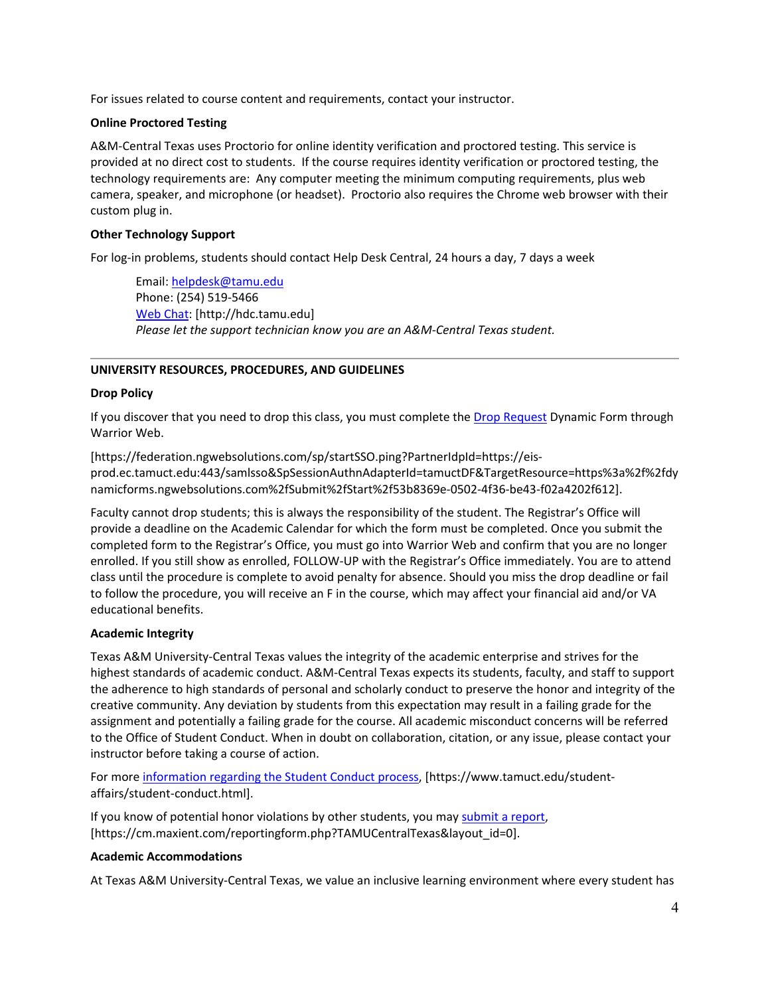For issues related to course content and requirements, contact your instructor.

# **Online Proctored Testing**

A&M-Central Texas uses Proctorio for online identity verification and proctored testing. This service is provided at no direct cost to students. If the course requires identity verification or proctored testing, the technology requirements are: Any computer meeting the minimum computing requirements, plus web camera, speaker, and microphone (or headset). Proctorio also requires the Chrome web browser with their custom plug in.

# **Other Technology Support**

For log-in problems, students should contact Help Desk Central, 24 hours a day, 7 days a week

Email[: helpdesk@tamu.edu](mailto:helpdesk@tamu.edu) Phone: (254) 519-5466 [Web Chat:](http://hdc.tamu.edu/) [http://hdc.tamu.edu] *Please let the support technician know you are an A&M-Central Texas student.*

# **UNIVERSITY RESOURCES, PROCEDURES, AND GUIDELINES**

## **Drop Policy**

If you discover that you need to drop this class, you must complete the [Drop Request](https://federation.ngwebsolutions.com/sp/startSSO.ping?PartnerIdpId=https://eis-prod.ec.tamuct.edu:443/samlsso&SpSessionAuthnAdapterId=tamuctDF&TargetResource=https%3a%2f%2fdynamicforms.ngwebsolutions.com%2fSubmit%2fStart%2f53b8369e-0502-4f36-be43-f02a4202f612) Dynamic Form through Warrior Web.

[https://federation.ngwebsolutions.com/sp/startSSO.ping?PartnerIdpId=https://eisprod.ec.tamuct.edu:443/samlsso&SpSessionAuthnAdapterId=tamuctDF&TargetResource=https%3a%2f%2fdy namicforms.ngwebsolutions.com%2fSubmit%2fStart%2f53b8369e-0502-4f36-be43-f02a4202f612].

Faculty cannot drop students; this is always the responsibility of the student. The Registrar's Office will provide a deadline on the Academic Calendar for which the form must be completed. Once you submit the completed form to the Registrar's Office, you must go into Warrior Web and confirm that you are no longer enrolled. If you still show as enrolled, FOLLOW-UP with the Registrar's Office immediately. You are to attend class until the procedure is complete to avoid penalty for absence. Should you miss the drop deadline or fail to follow the procedure, you will receive an F in the course, which may affect your financial aid and/or VA educational benefits.

## **Academic Integrity**

Texas A&M University-Central Texas values the integrity of the academic enterprise and strives for the highest standards of academic conduct. A&M-Central Texas expects its students, faculty, and staff to support the adherence to high standards of personal and scholarly conduct to preserve the honor and integrity of the creative community. Any deviation by students from this expectation may result in a failing grade for the assignment and potentially a failing grade for the course. All academic misconduct concerns will be referred to the Office of Student Conduct. When in doubt on collaboration, citation, or any issue, please contact your instructor before taking a course of action.

For more [information](https://nam04.safelinks.protection.outlook.com/?url=https%3A%2F%2Fwww.tamuct.edu%2Fstudent-affairs%2Fstudent-conduct.html&data=04%7C01%7Clisa.bunkowski%40tamuct.edu%7Ccfb6e486f24745f53e1a08d910055cb2%7C9eed4e3000f744849ff193ad8005acec%7C0%7C0%7C637558437485252160%7CUnknown%7CTWFpbGZsb3d8eyJWIjoiMC4wLjAwMDAiLCJQIjoiV2luMzIiLCJBTiI6Ik1haWwiLCJXVCI6Mn0%3D%7C1000&sdata=yjftDEVHvLX%2FhM%2FcFU0B99krV1RgEWR%2BJ%2BhvtoR6TYk%3D&reserved=0) regarding the Student Conduct process, [https://www.tamuct.edu/studentaffairs/student-conduct.html].

If you know of potential honor violations by other students, you may submit a [report,](https://nam04.safelinks.protection.outlook.com/?url=https%3A%2F%2Fcm.maxient.com%2Freportingform.php%3FTAMUCentralTexas%26layout_id%3D0&data=04%7C01%7Clisa.bunkowski%40tamuct.edu%7Ccfb6e486f24745f53e1a08d910055cb2%7C9eed4e3000f744849ff193ad8005acec%7C0%7C0%7C637558437485262157%7CUnknown%7CTWFpbGZsb3d8eyJWIjoiMC4wLjAwMDAiLCJQIjoiV2luMzIiLCJBTiI6Ik1haWwiLCJXVCI6Mn0%3D%7C1000&sdata=CXGkOa6uPDPX1IMZ87z3aZDq2n91xfHKu4MMS43Ejjk%3D&reserved=0) [https://cm.maxient.com/reportingform.php?TAMUCentralTexas&layout\_id=0].

## **Academic Accommodations**

At Texas A&M University-Central Texas, we value an inclusive learning environment where every student has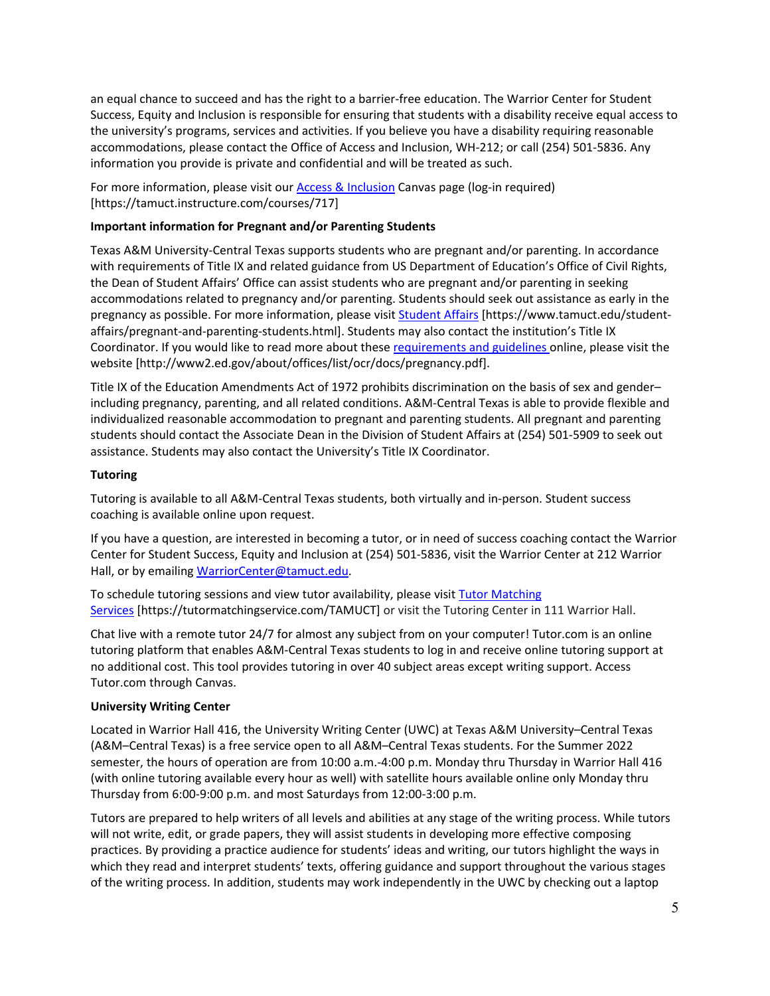an equal chance to succeed and has the right to a barrier-free education. The Warrior Center for Student Success, Equity and Inclusion is responsible for ensuring that students with a disability receive equal access to the university's programs, services and activities. If you believe you have a disability requiring reasonable accommodations, please contact the Office of Access and Inclusion, WH-212; or call (254) 501-5836. Any information you provide is private and confidential and will be treated as such.

For more information, please visit our **Access & Inclusion** Canvas page (log-in required) [https://tamuct.instructure.com/courses/717]

# **Important information for Pregnant and/or Parenting Students**

Texas A&M University-Central Texas supports students who are pregnant and/or parenting. In accordance with requirements of Title IX and related guidance from US Department of Education's Office of Civil Rights, the Dean of Student Affairs' Office can assist students who are pregnant and/or parenting in seeking accommodations related to pregnancy and/or parenting. Students should seek out assistance as early in the pregnancy as possible. For more information, please visit [Student Affairs](https://www.tamuct.edu/student-affairs/pregnant-and-parenting-students.html) [https://www.tamuct.edu/studentaffairs/pregnant-and-parenting-students.html]. Students may also contact the institution's Title IX Coordinator. If you would like to read more about these [requirements and guidelines](http://www2.ed.gov/about/offices/list/ocr/docs/pregnancy.pdf) online, please visit the website [http://www2.ed.gov/about/offices/list/ocr/docs/pregnancy.pdf].

Title IX of the Education Amendments Act of 1972 prohibits discrimination on the basis of sex and gender– including pregnancy, parenting, and all related conditions. A&M-Central Texas is able to provide flexible and individualized reasonable accommodation to pregnant and parenting students. All pregnant and parenting students should contact the Associate Dean in the Division of Student Affairs at (254) 501-5909 to seek out assistance. Students may also contact the University's Title IX Coordinator.

# **Tutoring**

Tutoring is available to all A&M-Central Texas students, both virtually and in-person. Student success coaching is available online upon request.

If you have a question, are interested in becoming a tutor, or in need of success coaching contact the Warrior Center for Student Success, Equity and Inclusion at (254) 501-5836, visit the Warrior Center at 212 Warrior Hall, or by emailing [WarriorCenter@tamuct.edu.](mailto:WarriorCenter@tamuct.edu)

To schedule tutoring sessions and view tutor availability, please visit Tutor [Matching](https://tutormatchingservice.com/TAMUCT) [Services](https://tutormatchingservice.com/TAMUCT) [https://tutormatchingservice.com/TAMUCT] or visit the Tutoring Center in 111 Warrior Hall.

Chat live with a remote tutor 24/7 for almost any subject from on your computer! Tutor.com is an online tutoring platform that enables A&M-Central Texas students to log in and receive online tutoring support at no additional cost. This tool provides tutoring in over 40 subject areas except writing support. Access Tutor.com through Canvas.

## **University Writing Center**

Located in Warrior Hall 416, the University Writing Center (UWC) at Texas A&M University–Central Texas (A&M–Central Texas) is a free service open to all A&M–Central Texas students. For the Summer 2022 semester, the hours of operation are from 10:00 a.m.-4:00 p.m. Monday thru Thursday in Warrior Hall 416 (with online tutoring available every hour as well) with satellite hours available online only Monday thru Thursday from 6:00-9:00 p.m. and most Saturdays from 12:00-3:00 p.m.

Tutors are prepared to help writers of all levels and abilities at any stage of the writing process. While tutors will not write, edit, or grade papers, they will assist students in developing more effective composing practices. By providing a practice audience for students' ideas and writing, our tutors highlight the ways in which they read and interpret students' texts, offering guidance and support throughout the various stages of the writing process. In addition, students may work independently in the UWC by checking out a laptop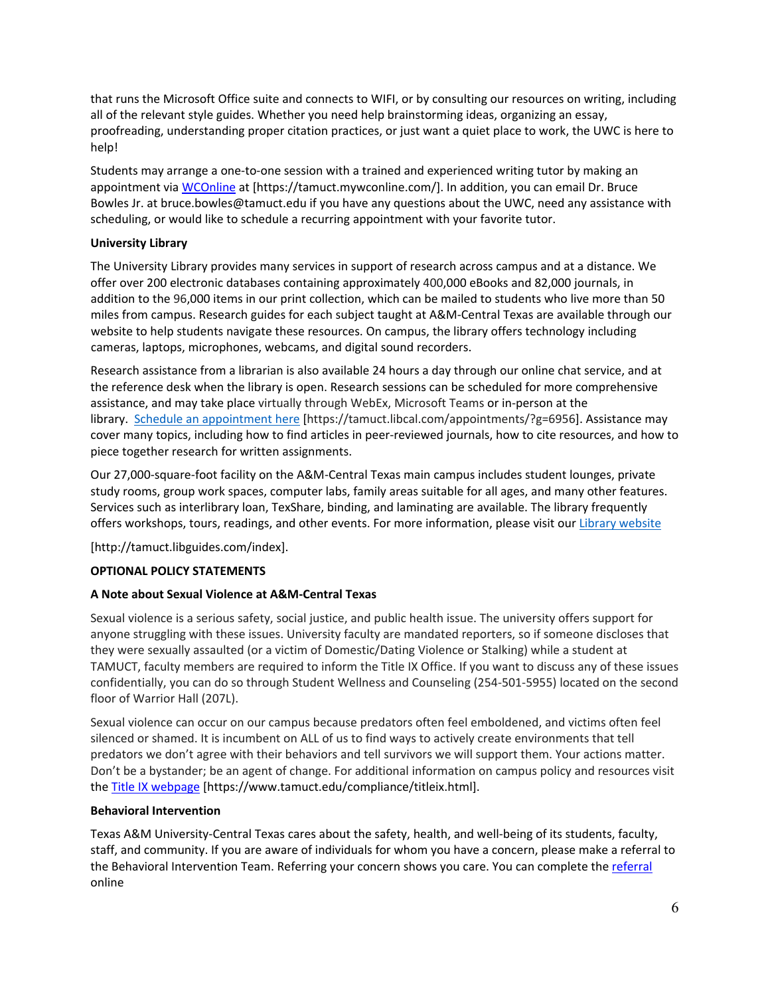that runs the Microsoft Office suite and connects to WIFI, or by consulting our resources on writing, including all of the relevant style guides. Whether you need help brainstorming ideas, organizing an essay, proofreading, understanding proper citation practices, or just want a quiet place to work, the UWC is here to help!

Students may arrange a one-to-one session with a trained and experienced writing tutor by making an appointment vi[a WCOnline](https://tamuct.mywconline.com/) at [https://tamuct.mywconline.com/]. In addition, you can email Dr. Bruce Bowles Jr. at bruce.bowles@tamuct.edu if you have any questions about the UWC, need any assistance with scheduling, or would like to schedule a recurring appointment with your favorite tutor.

# **University Library**

The University Library provides many services in support of research across campus and at a distance. We offer over 200 electronic databases containing approximately 400,000 eBooks and 82,000 journals, in addition to the 96,000 items in our print collection, which can be mailed to students who live more than 50 miles from campus. Research guides for each subject taught at A&M-Central Texas are available through our website to help students navigate these resources. On campus, the library offers technology including cameras, laptops, microphones, webcams, and digital sound recorders.

Research assistance from a librarian is also available 24 hours a day through our online chat service, and at the reference desk when the library is open. Research sessions can be scheduled for more comprehensive assistance, and may take place virtually through WebEx, Microsoft Teams or in-person at the library. Schedule an [appointment](https://nam04.safelinks.protection.outlook.com/?url=https%3A%2F%2Ftamuct.libcal.com%2Fappointments%2F%3Fg%3D6956&data=04%7C01%7Clisa.bunkowski%40tamuct.edu%7Cde2c07d9f5804f09518008d9ab7ba6ff%7C9eed4e3000f744849ff193ad8005acec%7C0%7C0%7C637729369835011558%7CUnknown%7CTWFpbGZsb3d8eyJWIjoiMC4wLjAwMDAiLCJQIjoiV2luMzIiLCJBTiI6Ik1haWwiLCJXVCI6Mn0%3D%7C3000&sdata=KhtjgRSAw9aq%2FoBsB6wyu8b7PSuGN5EGPypzr3Ty2No%3D&reserved=0) here [https://tamuct.libcal.com/appointments/?g=6956]. Assistance may cover many topics, including how to find articles in peer-reviewed journals, how to cite resources, and how to piece together research for written assignments.

Our 27,000-square-foot facility on the A&M-Central Texas main campus includes student lounges, private study rooms, group work spaces, computer labs, family areas suitable for all ages, and many other features. Services such as interlibrary loan, TexShare, binding, and laminating are available. The library frequently offers workshops, tours, readings, and other events. For more information, please visit our Library [website](https://nam04.safelinks.protection.outlook.com/?url=https%3A%2F%2Ftamuct.libguides.com%2Findex&data=04%7C01%7Clisa.bunkowski%40tamuct.edu%7C7d8489e8839a4915335f08d916f067f2%7C9eed4e3000f744849ff193ad8005acec%7C0%7C0%7C637566044056484222%7CUnknown%7CTWFpbGZsb3d8eyJWIjoiMC4wLjAwMDAiLCJQIjoiV2luMzIiLCJBTiI6Ik1haWwiLCJXVCI6Mn0%3D%7C1000&sdata=2R755V6rcIyedGrd4Os5rkgn1PvhHKU3kUV1vBKiHFo%3D&reserved=0)

[http://tamuct.libguides.com/index].

# **OPTIONAL POLICY STATEMENTS**

## **A Note about Sexual Violence at A&M-Central Texas**

Sexual violence is a serious safety, social justice, and public health issue. The university offers support for anyone struggling with these issues. University faculty are mandated reporters, so if someone discloses that they were sexually assaulted (or a victim of Domestic/Dating Violence or Stalking) while a student at TAMUCT, faculty members are required to inform the Title IX Office. If you want to discuss any of these issues confidentially, you can do so through Student Wellness and Counseling (254-501-5955) located on the second floor of Warrior Hall (207L).

Sexual violence can occur on our campus because predators often feel emboldened, and victims often feel silenced or shamed. It is incumbent on ALL of us to find ways to actively create environments that tell predators we don't agree with their behaviors and tell survivors we will support them. Your actions matter. Don't be a bystander; be an agent of change. For additional information on campus policy and resources visit th[e Title IX webpage](https://www.tamuct.edu/compliance/titleix.html) [\[https://www.tamuct.edu/compliance/titleix.html\]](https://www.tamuct.edu/compliance/titleix.html).

## **Behavioral Intervention**

Texas A&M University-Central Texas cares about the safety, health, and well-being of its students, faculty, staff, and community. If you are aware of individuals for whom you have a concern, please make a referral to the Behavioral Intervention Team. Referring your concern shows you care. You can complete the [referral](https://cm.maxient.com/reportingform.php?TAMUCentralTexas&layout_id=2) online